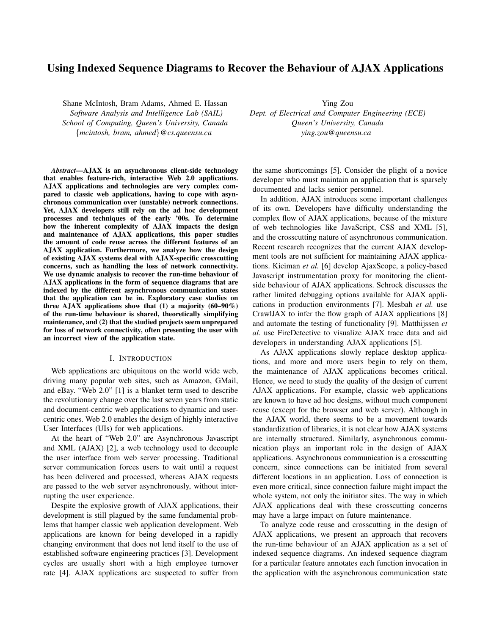# Using Indexed Sequence Diagrams to Recover the Behaviour of AJAX Applications

Shane McIntosh, Bram Adams, Ahmed E. Hassan *Software Analysis and Intelligence Lab (SAIL) School of Computing, Queen's University, Canada* {*mcintosh, bram, ahmed*}*@cs.queensu.ca*

*Abstract*—AJAX is an asynchronous client-side technology that enables feature-rich, interactive Web 2.0 applications. AJAX applications and technologies are very complex compared to classic web applications, having to cope with asynchronous communication over (unstable) network connections. Yet, AJAX developers still rely on the ad hoc development processes and techniques of the early '00s. To determine how the inherent complexity of AJAX impacts the design and maintenance of AJAX applications, this paper studies the amount of code reuse across the different features of an AJAX application. Furthermore, we analyze how the design of existing AJAX systems deal with AJAX-specific crosscutting concerns, such as handling the loss of network connectivity. We use dynamic analysis to recover the run-time behaviour of AJAX applications in the form of sequence diagrams that are indexed by the different asynchronous communication states that the application can be in. Exploratory case studies on three AJAX applications show that  $(1)$  a majority  $(60-90\%)$ of the run-time behaviour is shared, theoretically simplifying maintenance, and (2) that the studied projects seem unprepared for loss of network connectivity, often presenting the user with an incorrect view of the application state.

#### I. INTRODUCTION

Web applications are ubiquitous on the world wide web, driving many popular web sites, such as Amazon, GMail, and eBay. "Web 2.0" [1] is a blanket term used to describe the revolutionary change over the last seven years from static and document-centric web applications to dynamic and usercentric ones. Web 2.0 enables the design of highly interactive User Interfaces (UIs) for web applications.

At the heart of "Web 2.0" are Asynchronous Javascript and XML (AJAX) [2], a web technology used to decouple the user interface from web server processing. Traditional server communication forces users to wait until a request has been delivered and processed, whereas AJAX requests are passed to the web server asynchronously, without interrupting the user experience.

Despite the explosive growth of AJAX applications, their development is still plagued by the same fundamental problems that hamper classic web application development. Web applications are known for being developed in a rapidly changing environment that does not lend itself to the use of established software engineering practices [3]. Development cycles are usually short with a high employee turnover rate [4]. AJAX applications are suspected to suffer from

Ying Zou *Dept. of Electrical and Computer Engineering (ECE) Queen's University, Canada ying.zou@queensu.ca*

the same shortcomings [5]. Consider the plight of a novice developer who must maintain an application that is sparsely documented and lacks senior personnel.

In addition, AJAX introduces some important challenges of its own. Developers have difficulty understanding the complex flow of AJAX applications, because of the mixture of web technologies like JavaScript, CSS and XML [5], and the crosscutting nature of asynchronous communication. Recent research recognizes that the current AJAX development tools are not sufficient for maintaining AJAX applications. Kiciman *et al.* [6] develop AjaxScope, a policy-based Javascript instrumentation proxy for monitoring the clientside behaviour of AJAX applications. Schrock discusses the rather limited debugging options available for AJAX applications in production environments [7]. Mesbah *et al.* use CrawlJAX to infer the flow graph of AJAX applications [8] and automate the testing of functionality [9]. Matthijssen *et al.* use FireDetective to visualize AJAX trace data and aid developers in understanding AJAX applications [5].

As AJAX applications slowly replace desktop applications, and more and more users begin to rely on them, the maintenance of AJAX applications becomes critical. Hence, we need to study the quality of the design of current AJAX applications. For example, classic web applications are known to have ad hoc designs, without much component reuse (except for the browser and web server). Although in the AJAX world, there seems to be a movement towards standardization of libraries, it is not clear how AJAX systems are internally structured. Similarly, asynchronous communication plays an important role in the design of AJAX applications. Asynchronous communication is a crosscutting concern, since connections can be initiated from several different locations in an application. Loss of connection is even more critical, since connection failure might impact the whole system, not only the initiator sites. The way in which AJAX applications deal with these crosscutting concerns may have a large impact on future maintenance.

To analyze code reuse and crosscutting in the design of AJAX applications, we present an approach that recovers the run-time behaviour of an AJAX application as a set of indexed sequence diagrams. An indexed sequence diagram for a particular feature annotates each function invocation in the application with the asynchronous communication state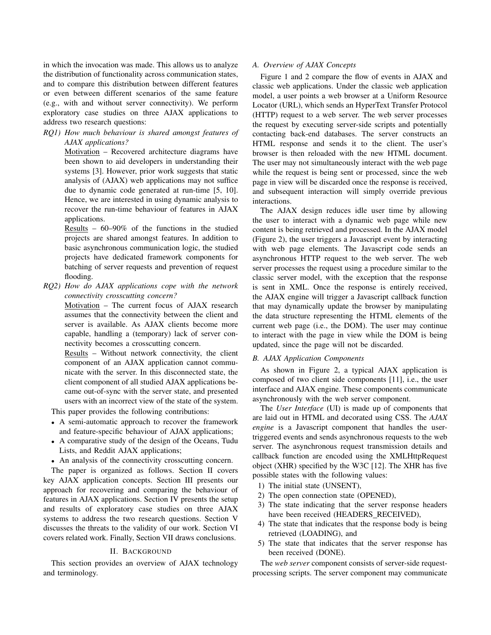in which the invocation was made. This allows us to analyze the distribution of functionality across communication states, and to compare this distribution between different features or even between different scenarios of the same feature (e.g., with and without server connectivity). We perform exploratory case studies on three AJAX applications to address two research questions:

*RQ1) How much behaviour is shared amongst features of AJAX applications?*

> Motivation – Recovered architecture diagrams have been shown to aid developers in understanding their systems [3]. However, prior work suggests that static analysis of (AJAX) web applications may not suffice due to dynamic code generated at run-time [5, 10]. Hence, we are interested in using dynamic analysis to recover the run-time behaviour of features in AJAX applications.

> Results – 60–90% of the functions in the studied projects are shared amongst features. In addition to basic asynchronous communication logic, the studied projects have dedicated framework components for batching of server requests and prevention of request flooding.

*RQ2) How do AJAX applications cope with the network connectivity crosscutting concern?*

> Motivation – The current focus of AJAX research assumes that the connectivity between the client and server is available. As AJAX clients become more capable, handling a (temporary) lack of server connectivity becomes a crosscutting concern.

> Results – Without network connectivity, the client component of an AJAX application cannot communicate with the server. In this disconnected state, the client component of all studied AJAX applications became out-of-sync with the server state, and presented users with an incorrect view of the state of the system.

This paper provides the following contributions:

- A semi-automatic approach to recover the framework and feature-specific behaviour of AJAX applications;
- A comparative study of the design of the Oceans, Tudu Lists, and Reddit AJAX applications;
- An analysis of the connectivity crosscutting concern.

The paper is organized as follows. Section II covers key AJAX application concepts. Section III presents our approach for recovering and comparing the behaviour of features in AJAX applications. Section IV presents the setup and results of exploratory case studies on three AJAX systems to address the two research questions. Section V discusses the threats to the validity of our work. Section VI covers related work. Finally, Section VII draws conclusions.

# II. BACKGROUND

This section provides an overview of AJAX technology and terminology.

### *A. Overview of AJAX Concepts*

Figure 1 and 2 compare the flow of events in AJAX and classic web applications. Under the classic web application model, a user points a web browser at a Uniform Resource Locator (URL), which sends an HyperText Transfer Protocol (HTTP) request to a web server. The web server processes the request by executing server-side scripts and potentially contacting back-end databases. The server constructs an HTML response and sends it to the client. The user's browser is then reloaded with the new HTML document. The user may not simultaneously interact with the web page while the request is being sent or processed, since the web page in view will be discarded once the response is received, and subsequent interaction will simply override previous interactions.

The AJAX design reduces idle user time by allowing the user to interact with a dynamic web page while new content is being retrieved and processed. In the AJAX model (Figure 2), the user triggers a Javascript event by interacting with web page elements. The Javascript code sends an asynchronous HTTP request to the web server. The web server processes the request using a procedure similar to the classic server model, with the exception that the response is sent in XML. Once the response is entirely received, the AJAX engine will trigger a Javascript callback function that may dynamically update the browser by manipulating the data structure representing the HTML elements of the current web page (i.e., the DOM). The user may continue to interact with the page in view while the DOM is being updated, since the page will not be discarded.

# *B. AJAX Application Components*

As shown in Figure 2, a typical AJAX application is composed of two client side components [11], i.e., the user interface and AJAX engine. These components communicate asynchronously with the web server component.

The *User Interface* (UI) is made up of components that are laid out in HTML and decorated using CSS. The *AJAX engine* is a Javascript component that handles the usertriggered events and sends asynchronous requests to the web server. The asynchronous request transmission details and callback function are encoded using the XMLHttpRequest object (XHR) specified by the W3C [12]. The XHR has five possible states with the following values:

- 1) The initial state (UNSENT),
- 2) The open connection state (OPENED),
- 3) The state indicating that the server response headers have been received (HEADERS\_RECEIVED),
- 4) The state that indicates that the response body is being retrieved (LOADING), and
- 5) The state that indicates that the server response has been received (DONE).

The *web server* component consists of server-side requestprocessing scripts. The server component may communicate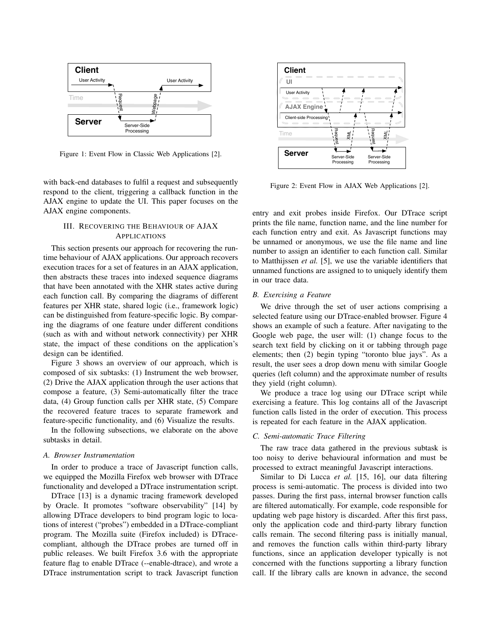

Figure 1: Event Flow in Classic Web Applications [2].

with back-end databases to fulfil a request and subsequently respond to the client, triggering a callback function in the AJAX engine to update the UI. This paper focuses on the AJAX engine components.

### III. RECOVERING THE BEHAVIOUR OF AJAX **APPLICATIONS**

This section presents our approach for recovering the runtime behaviour of AJAX applications. Our approach recovers execution traces for a set of features in an AJAX application, then abstracts these traces into indexed sequence diagrams that have been annotated with the XHR states active during each function call. By comparing the diagrams of different features per XHR state, shared logic (i.e., framework logic) can be distinguished from feature-specific logic. By comparing the diagrams of one feature under different conditions (such as with and without network connectivity) per XHR state, the impact of these conditions on the application's design can be identified.

Figure 3 shows an overview of our approach, which is composed of six subtasks: (1) Instrument the web browser, (2) Drive the AJAX application through the user actions that compose a feature, (3) Semi-automatically filter the trace data, (4) Group function calls per XHR state, (5) Compare the recovered feature traces to separate framework and feature-specific functionality, and (6) Visualize the results.

In the following subsections, we elaborate on the above subtasks in detail.

#### *A. Browser Instrumentation*

In order to produce a trace of Javascript function calls, we equipped the Mozilla Firefox web browser with DTrace functionality and developed a DTrace instrumentation script.

DTrace [13] is a dynamic tracing framework developed by Oracle. It promotes "software observability" [14] by allowing DTrace developers to bind program logic to locations of interest ("probes") embedded in a DTrace-compliant program. The Mozilla suite (Firefox included) is DTracecompliant, although the DTrace probes are turned off in public releases. We built Firefox 3.6 with the appropriate feature flag to enable DTrace (--enable-dtrace), and wrote a DTrace instrumentation script to track Javascript function



Figure 2: Event Flow in AJAX Web Applications [2].

entry and exit probes inside Firefox. Our DTrace script prints the file name, function name, and the line number for each function entry and exit. As Javascript functions may be unnamed or anonymous, we use the file name and line number to assign an identifier to each function call. Similar to Matthijssen *et al.* [5], we use the variable identifiers that unnamed functions are assigned to to uniquely identify them in our trace data.

## *B. Exercising a Feature*

We drive through the set of user actions comprising a selected feature using our DTrace-enabled browser. Figure 4 shows an example of such a feature. After navigating to the Google web page, the user will: (1) change focus to the search text field by clicking on it or tabbing through page elements; then (2) begin typing "toronto blue jays". As a result, the user sees a drop down menu with similar Google queries (left column) and the approximate number of results they yield (right column).

We produce a trace log using our DTrace script while exercising a feature. This log contains all of the Javascript function calls listed in the order of execution. This process is repeated for each feature in the AJAX application.

#### *C. Semi-automatic Trace Filtering*

The raw trace data gathered in the previous subtask is too noisy to derive behavioural information and must be processed to extract meaningful Javascript interactions.

Similar to Di Lucca *et al.* [15, 16], our data filtering process is semi-automatic. The process is divided into two passes. During the first pass, internal browser function calls are filtered automatically. For example, code responsible for updating web page history is discarded. After this first pass, only the application code and third-party library function calls remain. The second filtering pass is initially manual, and removes the function calls within third-party library functions, since an application developer typically is not concerned with the functions supporting a library function call. If the library calls are known in advance, the second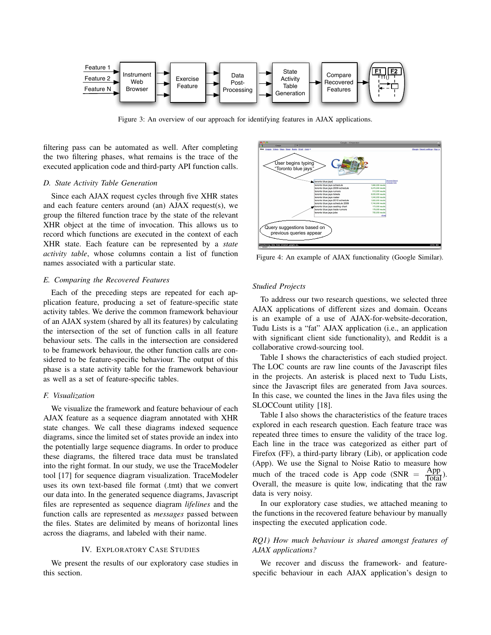

Figure 3: An overview of our approach for identifying features in AJAX applications.

filtering pass can be automated as well. After completing the two filtering phases, what remains is the trace of the executed application code and third-party API function calls.

#### *D. State Activity Table Generation*

Since each AJAX request cycles through five XHR states and each feature centers around (an) AJAX request(s), we group the filtered function trace by the state of the relevant XHR object at the time of invocation. This allows us to record which functions are executed in the context of each XHR state. Each feature can be represented by a *state activity table*, whose columns contain a list of function names associated with a particular state.

#### *E. Comparing the Recovered Features*

Each of the preceding steps are repeated for each application feature, producing a set of feature-specific state activity tables. We derive the common framework behaviour of an AJAX system (shared by all its features) by calculating the intersection of the set of function calls in all feature behaviour sets. The calls in the intersection are considered to be framework behaviour, the other function calls are considered to be feature-specific behaviour. The output of this phase is a state activity table for the framework behaviour as well as a set of feature-specific tables.

### *F. Visualization*

We visualize the framework and feature behaviour of each AJAX feature as a sequence diagram annotated with XHR state changes. We call these diagrams indexed sequence diagrams, since the limited set of states provide an index into the potentially large sequence diagrams. In order to produce these diagrams, the filtered trace data must be translated into the right format. In our study, we use the TraceModeler tool [17] for sequence diagram visualization. TraceModeler uses its own text-based file format (.tmt) that we convert our data into. In the generated sequence diagrams, Javascript files are represented as sequence diagram *lifelines* and the function calls are represented as *messages* passed between the files. States are delimited by means of horizontal lines across the diagrams, and labeled with their name.

#### IV. EXPLORATORY CASE STUDIES

We present the results of our exploratory case studies in this section.



Figure 4: An example of AJAX functionality (Google Similar).

#### *Studied Projects*

To address our two research questions, we selected three AJAX applications of different sizes and domain. Oceans is an example of a use of AJAX-for-website-decoration, Tudu Lists is a "fat" AJAX application (i.e., an application with significant client side functionality), and Reddit is a collaborative crowd-sourcing tool.

Table I shows the characteristics of each studied project. The LOC counts are raw line counts of the Javascript files in the projects. An asterisk is placed next to Tudu Lists, since the Javascript files are generated from Java sources. In this case, we counted the lines in the Java files using the SLOCCount utility [18].

Table I also shows the characteristics of the feature traces explored in each research question. Each feature trace was repeated three times to ensure the validity of the trace log. Each line in the trace was categorized as either part of Firefox (FF), a third-party library (Lib), or application code (App). We use the Signal to Noise Ratio to measure how much of the traced code is App code  $(SNR =$ App Total). Overall, the measure is quite low, indicating that the raw data is very noisy.

In our exploratory case studies, we attached meaning to the functions in the recovered feature behaviour by manually inspecting the executed application code.

# *RQ1) How much behaviour is shared amongst features of AJAX applications?*

We recover and discuss the framework- and featurespecific behaviour in each AJAX application's design to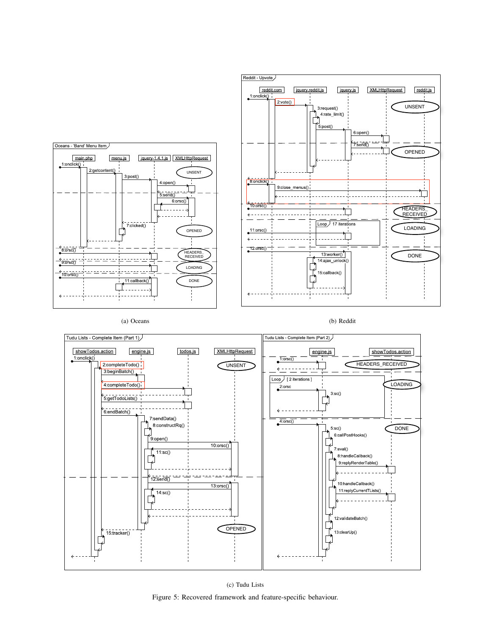

#### (a) Oceans





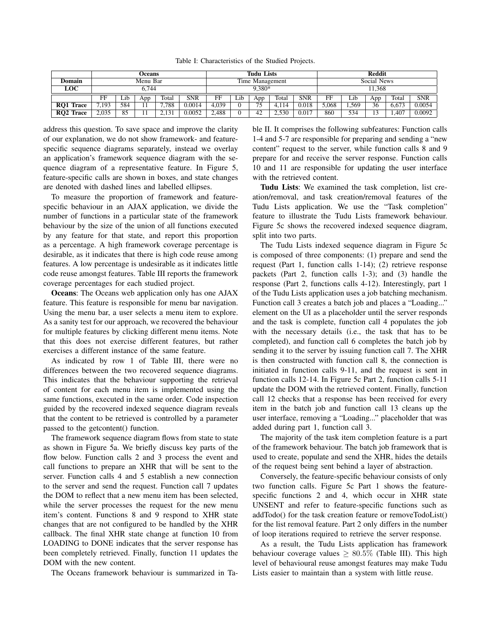Table I: Characteristics of the Studied Projects.

|                  | <b>Dceans</b> |     |     |       |            |                 |     | <b>Tudu Lists</b> |               |            | <b>Reddit</b> |      |     |       |            |
|------------------|---------------|-----|-----|-------|------------|-----------------|-----|-------------------|---------------|------------|---------------|------|-----|-------|------------|
| Domain           | Menu Bar      |     |     |       |            | Time Management |     |                   |               |            | Social News   |      |     |       |            |
| LOC              | 6.744         |     |     |       |            |                 |     | 9.380*            |               |            | 1.368         |      |     |       |            |
|                  | FF            | Lib | App | Total | <b>SNR</b> | FF              | Lib | App               | Total         | <b>SNR</b> | FF            | Lib  | App | Total | <b>SNR</b> |
| <b>RO1</b> Trace | 7,193         | 584 | . . | 7.788 | 0.0014     | 4.039           |     | 75                | 114<br>$-4.1$ | 0.018      | 5.068         | .569 | 36  | 6.673 | 0.0054     |
| <b>RO2</b> Trace | 2,035         | 85  |     | 2.131 | 0.0052     | 2,488           |     | 42                | 2,530         | 0.017      | 860           | 534  |     | .407  | 0.0092     |

address this question. To save space and improve the clarity of our explanation, we do not show framework- and featurespecific sequence diagrams separately, instead we overlay an application's framework sequence diagram with the sequence diagram of a representative feature. In Figure 5, feature-specific calls are shown in boxes, and state changes are denoted with dashed lines and labelled ellipses.

To measure the proportion of framework and featurespecific behaviour in an AJAX application, we divide the number of functions in a particular state of the framework behaviour by the size of the union of all functions executed by any feature for that state, and report this proportion as a percentage. A high framework coverage percentage is desirable, as it indicates that there is high code reuse among features. A low percentage is undesirable as it indicates little code reuse amongst features. Table III reports the framework coverage percentages for each studied project.

Oceans: The Oceans web application only has one AJAX feature. This feature is responsible for menu bar navigation. Using the menu bar, a user selects a menu item to explore. As a sanity test for our approach, we recovered the behaviour for multiple features by clicking different menu items. Note that this does not exercise different features, but rather exercises a different instance of the same feature.

As indicated by row 1 of Table III, there were no differences between the two recovered sequence diagrams. This indicates that the behaviour supporting the retrieval of content for each menu item is implemented using the same functions, executed in the same order. Code inspection guided by the recovered indexed sequence diagram reveals that the content to be retrieved is controlled by a parameter passed to the getcontent() function.

The framework sequence diagram flows from state to state as shown in Figure 5a. We briefly discuss key parts of the flow below. Function calls 2 and 3 process the event and call functions to prepare an XHR that will be sent to the server. Function calls 4 and 5 establish a new connection to the server and send the request. Function call 7 updates the DOM to reflect that a new menu item has been selected, while the server processes the request for the new menu item's content. Functions 8 and 9 respond to XHR state changes that are not configured to be handled by the XHR callback. The final XHR state change at function 10 from LOADING to DONE indicates that the server response has been completely retrieved. Finally, function 11 updates the DOM with the new content.

The Oceans framework behaviour is summarized in Ta-

ble II. It comprises the following subfeatures: Function calls 1-4 and 5-7 are responsible for preparing and sending a "new content" request to the server, while function calls 8 and 9 prepare for and receive the server response. Function calls 10 and 11 are responsible for updating the user interface with the retrieved content.

Tudu Lists: We examined the task completion, list creation/removal, and task creation/removal features of the Tudu Lists application. We use the "Task completion" feature to illustrate the Tudu Lists framework behaviour. Figure 5c shows the recovered indexed sequence diagram, split into two parts.

The Tudu Lists indexed sequence diagram in Figure 5c is composed of three components: (1) prepare and send the request (Part 1, function calls 1-14); (2) retrieve response packets (Part 2, function calls 1-3); and (3) handle the response (Part 2, functions calls 4-12). Interestingly, part 1 of the Tudu Lists application uses a job batching mechanism. Function call 3 creates a batch job and places a "Loading..." element on the UI as a placeholder until the server responds and the task is complete, function call 4 populates the job with the necessary details (i.e., the task that has to be completed), and function call 6 completes the batch job by sending it to the server by issuing function call 7. The XHR is then constructed with function call 8, the connection is initiated in function calls 9-11, and the request is sent in function calls 12-14. In Figure 5c Part 2, function calls 5-11 update the DOM with the retrieved content. Finally, function call 12 checks that a response has been received for every item in the batch job and function call 13 cleans up the user interface, removing a "Loading..." placeholder that was added during part 1, function call 3.

The majority of the task item completion feature is a part of the framework behaviour. The batch job framework that is used to create, populate and send the XHR, hides the details of the request being sent behind a layer of abstraction.

Conversely, the feature-specific behaviour consists of only two function calls. Figure 5c Part 1 shows the featurespecific functions 2 and 4, which occur in XHR state UNSENT and refer to feature-specific functions such as addTodo() for the task creation feature or removeTodoList() for the list removal feature. Part 2 only differs in the number of loop iterations required to retrieve the server response.

As a result, the Tudu Lists application has framework behaviour coverage values  $\geq 80.5\%$  (Table III). This high level of behavioural reuse amongst features may make Tudu Lists easier to maintain than a system with little reuse.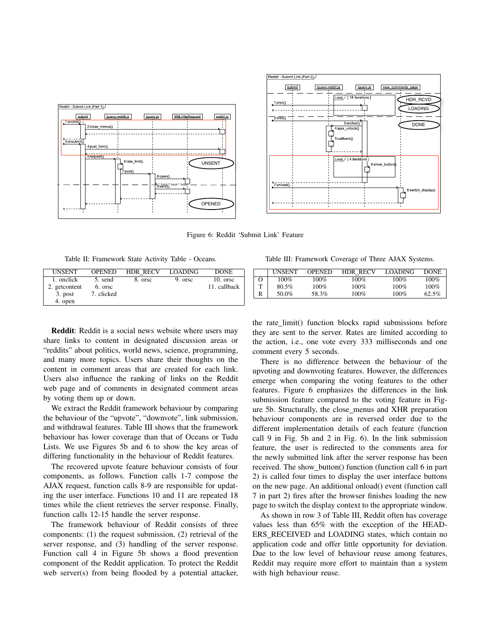



Figure 6: Reddit 'Submit Link' Feature

Table II: Framework State Activity Table - Oceans.

| UNSENT        | OPENED     | <b>RECV</b><br>HDR | LOADING | <b>DONE</b> |              | UNSENT | OPENED | <b>HDR RECV</b> | LOADING | <b>DONE</b> |
|---------------|------------|--------------------|---------|-------------|--------------|--------|--------|-----------------|---------|-------------|
| . onclick     | send       | 8. orsc            | . orsc  | 10. orsc    |              | 100%   | 100%   | 100%            | 100%    | 100%        |
| 2. getcontent | 6. orsc    |                    |         | . callback  | $\mathbf{r}$ | 80.5%  | 100%   | 100%            | 100%    | 100%        |
| 3. post       | 7. clicked |                    |         |             | $\mathbf R$  | 50.0%  | 58.3%  | 100%            | 100%    | 62.5%       |
| 4. open       |            |                    |         |             |              |        |        |                 |         |             |

Table III: Framework Coverage of Three AJAX Systems.

the rate limit() function blocks rapid submissions before they are sent to the server. Rates are limited according to the action, i.e., one vote every 333 milliseconds and one comment every 5 seconds.

There is no difference between the behaviour of the upvoting and downvoting features. However, the differences emerge when comparing the voting features to the other features. Figure 6 emphasizes the differences in the link submission feature compared to the voting feature in Figure 5b. Structurally, the close menus and XHR preparation behaviour components are in reversed order due to the different implementation details of each feature (function call 9 in Fig. 5b and 2 in Fig. 6). In the link submission feature, the user is redirected to the comments area for the newly submitted link after the server response has been received. The show\_button() function (function call 6 in part 2) is called four times to display the user interface buttons on the new page. An additional onload() event (function call 7 in part 2) fires after the browser finishes loading the new page to switch the display context to the appropriate window.

As shown in row 3 of Table III, Reddit often has coverage values less than 65% with the exception of the HEAD-ERS RECEIVED and LOADING states, which contain no application code and offer little opportunity for deviation. Due to the low level of behaviour reuse among features, Reddit may require more effort to maintain than a system with high behaviour reuse.

Reddit: Reddit is a social news website where users may share links to content in designated discussion areas or "reddits" about politics, world news, science, programming, and many more topics. Users share their thoughts on the content in comment areas that are created for each link. Users also influence the ranking of links on the Reddit web page and of comments in designated comment areas by voting them up or down.

We extract the Reddit framework behaviour by comparing the behaviour of the "upvote", "downvote", link submission, and withdrawal features. Table III shows that the framework behaviour has lower coverage than that of Oceans or Tudu Lists. We use Figures 5b and 6 to show the key areas of differing functionality in the behaviour of Reddit features.

The recovered upvote feature behaviour consists of four components, as follows. Function calls 1-7 compose the AJAX request, function calls 8-9 are responsible for updating the user interface. Functions 10 and 11 are repeated 18 times while the client retrieves the server response. Finally, function calls 12-15 handle the server response.

The framework behaviour of Reddit consists of three components: (1) the request submission, (2) retrieval of the server response, and (3) handling of the server response. Function call 4 in Figure 5b shows a flood prevention component of the Reddit application. To protect the Reddit web server(s) from being flooded by a potential attacker,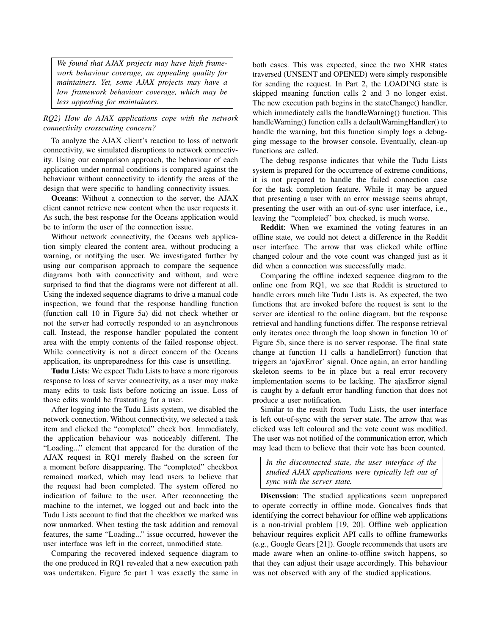*We found that AJAX projects may have high framework behaviour coverage, an appealing quality for maintainers. Yet, some AJAX projects may have a low framework behaviour coverage, which may be less appealing for maintainers.*

# *RQ2) How do AJAX applications cope with the network connectivity crosscutting concern?*

To analyze the AJAX client's reaction to loss of network connectivity, we simulated disruptions to network connectivity. Using our comparison approach, the behaviour of each application under normal conditions is compared against the behaviour without connectivity to identify the areas of the design that were specific to handling connectivity issues.

Oceans: Without a connection to the server, the AJAX client cannot retrieve new content when the user requests it. As such, the best response for the Oceans application would be to inform the user of the connection issue.

Without network connectivity, the Oceans web application simply cleared the content area, without producing a warning, or notifying the user. We investigated further by using our comparison approach to compare the sequence diagrams both with connectivity and without, and were surprised to find that the diagrams were not different at all. Using the indexed sequence diagrams to drive a manual code inspection, we found that the response handling function (function call 10 in Figure 5a) did not check whether or not the server had correctly responded to an asynchronous call. Instead, the response handler populated the content area with the empty contents of the failed response object. While connectivity is not a direct concern of the Oceans application, its unpreparedness for this case is unsettling.

Tudu Lists: We expect Tudu Lists to have a more rigorous response to loss of server connectivity, as a user may make many edits to task lists before noticing an issue. Loss of those edits would be frustrating for a user.

After logging into the Tudu Lists system, we disabled the network connection. Without connectivity, we selected a task item and clicked the "completed" check box. Immediately, the application behaviour was noticeably different. The "Loading..." element that appeared for the duration of the AJAX request in RQ1 merely flashed on the screen for a moment before disappearing. The "completed" checkbox remained marked, which may lead users to believe that the request had been completed. The system offered no indication of failure to the user. After reconnecting the machine to the internet, we logged out and back into the Tudu Lists account to find that the checkbox we marked was now unmarked. When testing the task addition and removal features, the same "Loading..." issue occurred, however the user interface was left in the correct, unmodified state.

Comparing the recovered indexed sequence diagram to the one produced in RQ1 revealed that a new execution path was undertaken. Figure 5c part 1 was exactly the same in both cases. This was expected, since the two XHR states traversed (UNSENT and OPENED) were simply responsible for sending the request. In Part 2, the LOADING state is skipped meaning function calls 2 and 3 no longer exist. The new execution path begins in the stateChange() handler, which immediately calls the handleWarning() function. This handleWarning() function calls a defaultWarningHandler() to handle the warning, but this function simply logs a debugging message to the browser console. Eventually, clean-up functions are called.

The debug response indicates that while the Tudu Lists system is prepared for the occurrence of extreme conditions, it is not prepared to handle the failed connection case for the task completion feature. While it may be argued that presenting a user with an error message seems abrupt, presenting the user with an out-of-sync user interface, i.e., leaving the "completed" box checked, is much worse.

Reddit: When we examined the voting features in an offline state, we could not detect a difference in the Reddit user interface. The arrow that was clicked while offline changed colour and the vote count was changed just as it did when a connection was successfully made.

Comparing the offline indexed sequence diagram to the online one from RQ1, we see that Reddit is structured to handle errors much like Tudu Lists is. As expected, the two functions that are invoked before the request is sent to the server are identical to the online diagram, but the response retrieval and handling functions differ. The response retrieval only iterates once through the loop shown in function 10 of Figure 5b, since there is no server response. The final state change at function 11 calls a handleError() function that triggers an 'ajaxError' signal. Once again, an error handling skeleton seems to be in place but a real error recovery implementation seems to be lacking. The ajaxError signal is caught by a default error handling function that does not produce a user notification.

Similar to the result from Tudu Lists, the user interface is left out-of-sync with the server state. The arrow that was clicked was left coloured and the vote count was modified. The user was not notified of the communication error, which may lead them to believe that their vote has been counted.

*In the disconnected state, the user interface of the studied AJAX applications were typically left out of sync with the server state.*

Discussion: The studied applications seem unprepared to operate correctly in offline mode. Goncalves finds that identifying the correct behaviour for offline web applications is a non-trivial problem [19, 20]. Offline web application behaviour requires explicit API calls to offline frameworks (e.g., Google Gears [21]). Google recommends that users are made aware when an online-to-offline switch happens, so that they can adjust their usage accordingly. This behaviour was not observed with any of the studied applications.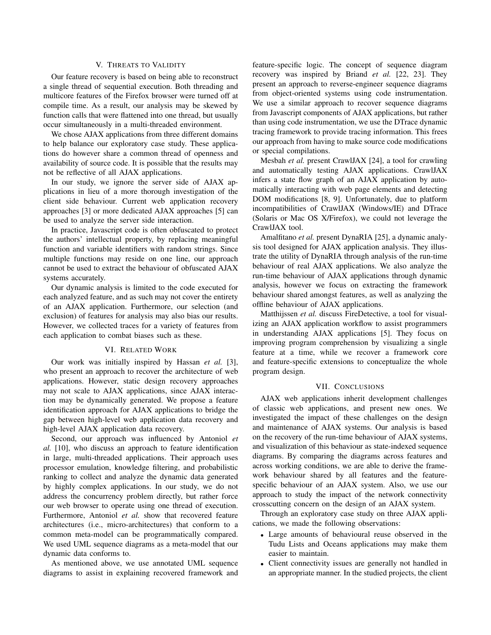## V. THREATS TO VALIDITY

Our feature recovery is based on being able to reconstruct a single thread of sequential execution. Both threading and multicore features of the Firefox browser were turned off at compile time. As a result, our analysis may be skewed by function calls that were flattened into one thread, but usually occur simultaneously in a multi-threaded environment.

We chose AJAX applications from three different domains to help balance our exploratory case study. These applications do however share a common thread of openness and availability of source code. It is possible that the results may not be reflective of all AJAX applications.

In our study, we ignore the server side of AJAX applications in lieu of a more thorough investigation of the client side behaviour. Current web application recovery approaches [3] or more dedicated AJAX approaches [5] can be used to analyze the server side interaction.

In practice, Javascript code is often obfuscated to protect the authors' intellectual property, by replacing meaningful function and variable identifiers with random strings. Since multiple functions may reside on one line, our approach cannot be used to extract the behaviour of obfuscated AJAX systems accurately.

Our dynamic analysis is limited to the code executed for each analyzed feature, and as such may not cover the entirety of an AJAX application. Furthermore, our selection (and exclusion) of features for analysis may also bias our results. However, we collected traces for a variety of features from each application to combat biases such as these.

### VI. RELATED WORK

Our work was initially inspired by Hassan *et al.* [3], who present an approach to recover the architecture of web applications. However, static design recovery approaches may not scale to AJAX applications, since AJAX interaction may be dynamically generated. We propose a feature identification approach for AJAX applications to bridge the gap between high-level web application data recovery and high-level AJAX application data recovery.

Second, our approach was influenced by Antoniol *et al.* [10], who discuss an approach to feature identification in large, multi-threaded applications. Their approach uses processor emulation, knowledge filtering, and probabilistic ranking to collect and analyze the dynamic data generated by highly complex applications. In our study, we do not address the concurrency problem directly, but rather force our web browser to operate using one thread of execution. Furthermore, Antoniol *et al.* show that recovered feature architectures (i.e., micro-architectures) that conform to a common meta-model can be programmatically compared. We used UML sequence diagrams as a meta-model that our dynamic data conforms to.

As mentioned above, we use annotated UML sequence diagrams to assist in explaining recovered framework and feature-specific logic. The concept of sequence diagram recovery was inspired by Briand *et al.* [22, 23]. They present an approach to reverse-engineer sequence diagrams from object-oriented systems using code instrumentation. We use a similar approach to recover sequence diagrams from Javascript components of AJAX applications, but rather than using code instrumentation, we use the DTrace dynamic tracing framework to provide tracing information. This frees our approach from having to make source code modifications or special compilations.

Mesbah *et al.* present CrawlJAX [24], a tool for crawling and automatically testing AJAX applications. CrawlJAX infers a state flow graph of an AJAX application by automatically interacting with web page elements and detecting DOM modifications [8, 9]. Unfortunately, due to platform incompatibilities of CrawlJAX (Windows/IE) and DTrace (Solaris or Mac OS X/Firefox), we could not leverage the CrawlJAX tool.

Amalfitano *et al.* present DynaRIA [25], a dynamic analysis tool designed for AJAX application analysis. They illustrate the utility of DynaRIA through analysis of the run-time behaviour of real AJAX applications. We also analyze the run-time behaviour of AJAX applications through dynamic analysis, however we focus on extracting the framework behaviour shared amongst features, as well as analyzing the offline behaviour of AJAX applications.

Matthijssen *et al.* discuss FireDetective, a tool for visualizing an AJAX application workflow to assist programmers in understanding AJAX applications [5]. They focus on improving program comprehension by visualizing a single feature at a time, while we recover a framework core and feature-specific extensions to conceptualize the whole program design.

#### VII. CONCLUSIONS

AJAX web applications inherit development challenges of classic web applications, and present new ones. We investigated the impact of these challenges on the design and maintenance of AJAX systems. Our analysis is based on the recovery of the run-time behaviour of AJAX systems, and visualization of this behaviour as state-indexed sequence diagrams. By comparing the diagrams across features and across working conditions, we are able to derive the framework behaviour shared by all features and the featurespecific behaviour of an AJAX system. Also, we use our approach to study the impact of the network connectivity crosscutting concern on the design of an AJAX system.

Through an exploratory case study on three AJAX applications, we made the following observations:

- Large amounts of behavioural reuse observed in the Tudu Lists and Oceans applications may make them easier to maintain.
- Client connectivity issues are generally not handled in an appropriate manner. In the studied projects, the client